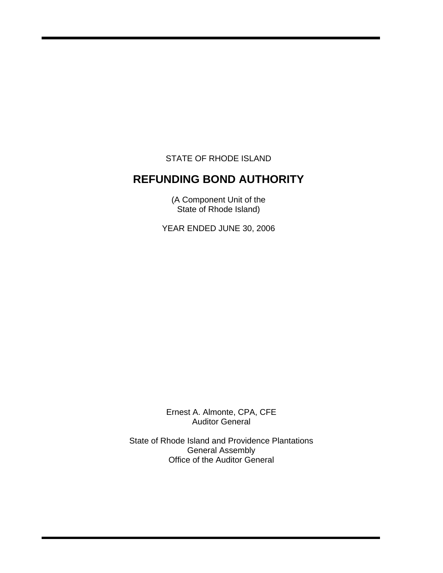STATE OF RHODE ISLAND

i

# **REFUNDING BOND AUTHORITY**

(A Component Unit of the State of Rhode Island)

YEAR ENDED JUNE 30, 2006

Ernest A. Almonte, CPA, CFE Auditor General

State of Rhode Island and Providence Plantations General Assembly Office of the Auditor General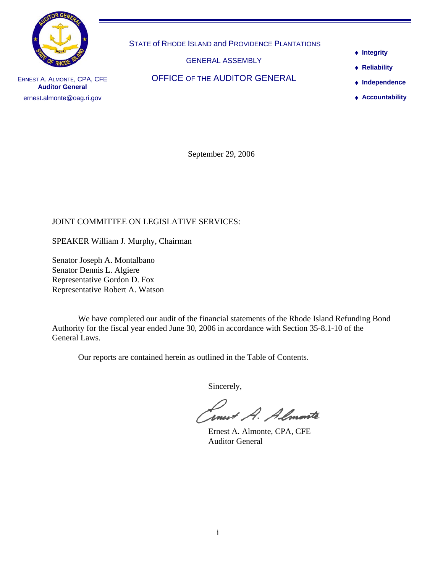

STATE of RHODE ISLAND and PROVIDENCE PLANTATIONS

GENERAL ASSEMBLY

OFFICE OF THE AUDITOR GENERAL

- ♦ **Integrity**
- ♦ **Reliability**
- ♦ **Independence**
- ♦ **Accountability**

ERNEST A. ALMONTE, CPA, CFE **Auditor General**  ernest.almonte@oag.ri.gov

September 29, 2006

# JOINT COMMITTEE ON LEGISLATIVE SERVICES:

SPEAKER William J. Murphy, Chairman

Senator Joseph A. Montalbano Senator Dennis L. Algiere Representative Gordon D. Fox Representative Robert A. Watson

 We have completed our audit of the financial statements of the Rhode Island Refunding Bond Authority for the fiscal year ended June 30, 2006 in accordance with Section 35-8.1-10 of the General Laws.

Our reports are contained herein as outlined in the Table of Contents.

Sincerely,

Smert A. Almonte

 Ernest A. Almonte, CPA, CFE Auditor General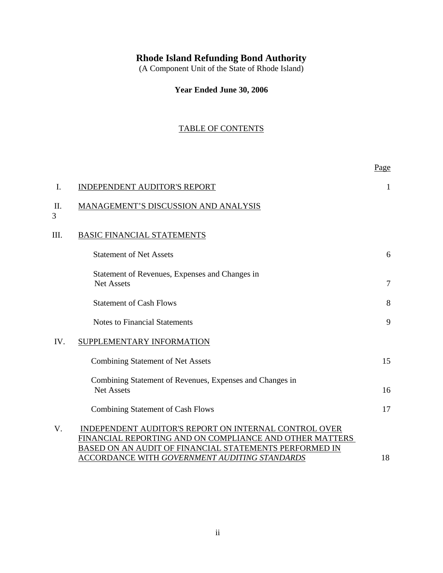# **Rhode Island Refunding Bond Authority**

(A Component Unit of the State of Rhode Island)

**Year Ended June 30, 2006**

# TABLE OF CONTENTS

|         |                                                                                                                                                                                                                                    | Page           |
|---------|------------------------------------------------------------------------------------------------------------------------------------------------------------------------------------------------------------------------------------|----------------|
| I.      | <b>INDEPENDENT AUDITOR'S REPORT</b>                                                                                                                                                                                                | 1              |
| П.<br>3 | MANAGEMENT'S DISCUSSION AND ANALYSIS                                                                                                                                                                                               |                |
| III.    | <b>BASIC FINANCIAL STATEMENTS</b>                                                                                                                                                                                                  |                |
|         | <b>Statement of Net Assets</b>                                                                                                                                                                                                     | 6              |
|         | Statement of Revenues, Expenses and Changes in<br><b>Net Assets</b>                                                                                                                                                                | $\overline{7}$ |
|         | <b>Statement of Cash Flows</b>                                                                                                                                                                                                     | 8              |
|         | <b>Notes to Financial Statements</b>                                                                                                                                                                                               | 9              |
| IV.     | SUPPLEMENTARY INFORMATION                                                                                                                                                                                                          |                |
|         | <b>Combining Statement of Net Assets</b>                                                                                                                                                                                           | 15             |
|         | Combining Statement of Revenues, Expenses and Changes in<br><b>Net Assets</b>                                                                                                                                                      | 16             |
|         | <b>Combining Statement of Cash Flows</b>                                                                                                                                                                                           | 17             |
| V.      | <b>INDEPENDENT AUDITOR'S REPORT ON INTERNAL CONTROL OVER</b><br>FINANCIAL REPORTING AND ON COMPLIANCE AND OTHER MATTERS<br>BASED ON AN AUDIT OF FINANCIAL STATEMENTS PERFORMED IN<br>ACCORDANCE WITH GOVERNMENT AUDITING STANDARDS | 18             |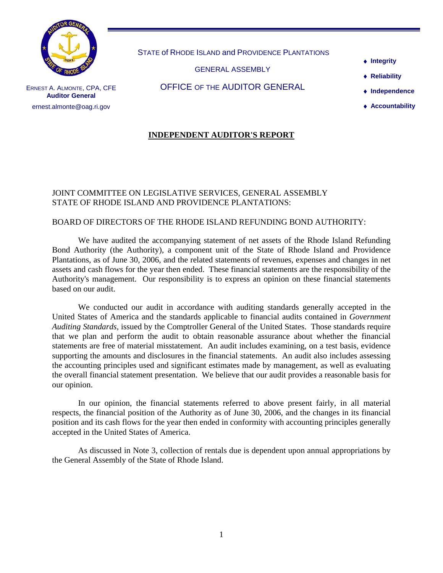

STATE of RHODE ISLAND and PROVIDENCE PLANTATIONS

GENERAL ASSEMBLY

OFFICE OF THE AUDITOR GENERAL

♦ **Integrity**

♦ **Reliability** 

♦ **Independence** 

♦ **Accountability**

ERNEST A. ALMONTE, CPA, CFE **Auditor General**  ernest.almonte@oag.ri.gov

# **INDEPENDENT AUDITOR'S REPORT**

## JOINT COMMITTEE ON LEGISLATIVE SERVICES, GENERAL ASSEMBLY STATE OF RHODE ISLAND AND PROVIDENCE PLANTATIONS:

# BOARD OF DIRECTORS OF THE RHODE ISLAND REFUNDING BOND AUTHORITY:

We have audited the accompanying statement of net assets of the Rhode Island Refunding Bond Authority (the Authority), a component unit of the State of Rhode Island and Providence Plantations, as of June 30, 2006, and the related statements of revenues, expenses and changes in net assets and cash flows for the year then ended. These financial statements are the responsibility of the Authority's management. Our responsibility is to express an opinion on these financial statements based on our audit.

We conducted our audit in accordance with auditing standards generally accepted in the United States of America and the standards applicable to financial audits contained in *Government Auditing Standards,* issued by the Comptroller General of the United States. Those standards require that we plan and perform the audit to obtain reasonable assurance about whether the financial statements are free of material misstatement. An audit includes examining, on a test basis, evidence supporting the amounts and disclosures in the financial statements. An audit also includes assessing the accounting principles used and significant estimates made by management, as well as evaluating the overall financial statement presentation. We believe that our audit provides a reasonable basis for our opinion.

In our opinion, the financial statements referred to above present fairly, in all material respects, the financial position of the Authority as of June 30, 2006, and the changes in its financial position and its cash flows for the year then ended in conformity with accounting principles generally accepted in the United States of America.

As discussed in Note 3, collection of rentals due is dependent upon annual appropriations by the General Assembly of the State of Rhode Island.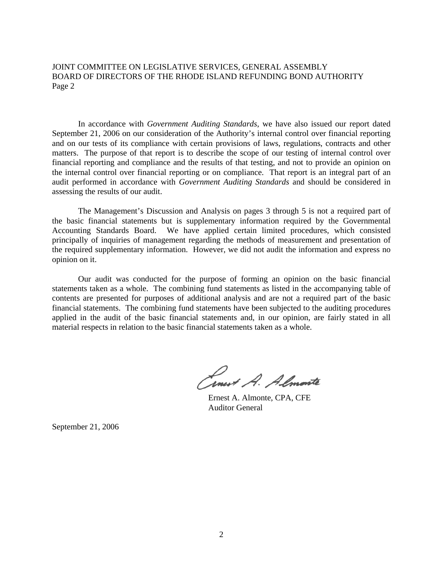JOINT COMMITTEE ON LEGISLATIVE SERVICES, GENERAL ASSEMBLY BOARD OF DIRECTORS OF THE RHODE ISLAND REFUNDING BOND AUTHORITY Page 2

In accordance with *Government Auditing Standards*, we have also issued our report dated September 21, 2006 on our consideration of the Authority's internal control over financial reporting and on our tests of its compliance with certain provisions of laws, regulations, contracts and other matters. The purpose of that report is to describe the scope of our testing of internal control over financial reporting and compliance and the results of that testing, and not to provide an opinion on the internal control over financial reporting or on compliance. That report is an integral part of an audit performed in accordance with *Government Auditing Standards* and should be considered in assessing the results of our audit.

The Management's Discussion and Analysis on pages 3 through 5 is not a required part of the basic financial statements but is supplementary information required by the Governmental Accounting Standards Board. We have applied certain limited procedures, which consisted principally of inquiries of management regarding the methods of measurement and presentation of the required supplementary information. However, we did not audit the information and express no opinion on it.

Our audit was conducted for the purpose of forming an opinion on the basic financial statements taken as a whole. The combining fund statements as listed in the accompanying table of contents are presented for purposes of additional analysis and are not a required part of the basic financial statements. The combining fund statements have been subjected to the auditing procedures applied in the audit of the basic financial statements and, in our opinion, are fairly stated in all material respects in relation to the basic financial statements taken as a whole.

Conest A. Almonte

 Ernest A. Almonte, CPA, CFE Auditor General

September 21, 2006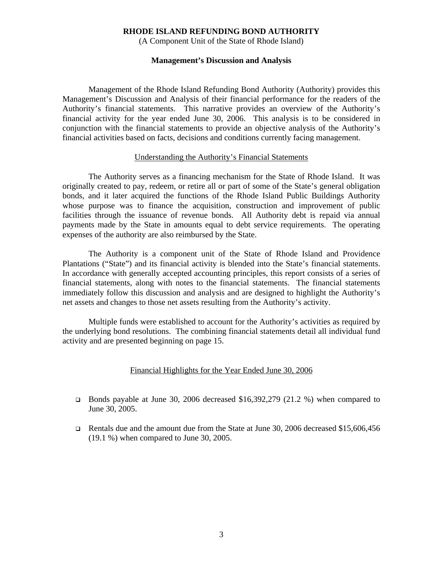(A Component Unit of the State of Rhode Island)

#### **Management's Discussion and Analysis**

Management of the Rhode Island Refunding Bond Authority (Authority) provides this Management's Discussion and Analysis of their financial performance for the readers of the Authority's financial statements. This narrative provides an overview of the Authority's financial activity for the year ended June 30, 2006. This analysis is to be considered in conjunction with the financial statements to provide an objective analysis of the Authority's financial activities based on facts, decisions and conditions currently facing management.

#### Understanding the Authority's Financial Statements

The Authority serves as a financing mechanism for the State of Rhode Island. It was originally created to pay, redeem, or retire all or part of some of the State's general obligation bonds, and it later acquired the functions of the Rhode Island Public Buildings Authority whose purpose was to finance the acquisition, construction and improvement of public facilities through the issuance of revenue bonds. All Authority debt is repaid via annual payments made by the State in amounts equal to debt service requirements. The operating expenses of the authority are also reimbursed by the State.

 The Authority is a component unit of the State of Rhode Island and Providence Plantations ("State") and its financial activity is blended into the State's financial statements. In accordance with generally accepted accounting principles, this report consists of a series of financial statements, along with notes to the financial statements. The financial statements immediately follow this discussion and analysis and are designed to highlight the Authority's net assets and changes to those net assets resulting from the Authority's activity.

 Multiple funds were established to account for the Authority's activities as required by the underlying bond resolutions. The combining financial statements detail all individual fund activity and are presented beginning on page 15.

### Financial Highlights for the Year Ended June 30, 2006

- **Bonds payable at June 30, 2006 decreased \$16,392,279 (21.2 %) when compared to** June 30, 2005.
- Rentals due and the amount due from the State at June 30, 2006 decreased \$15,606,456 (19.1 %) when compared to June 30, 2005.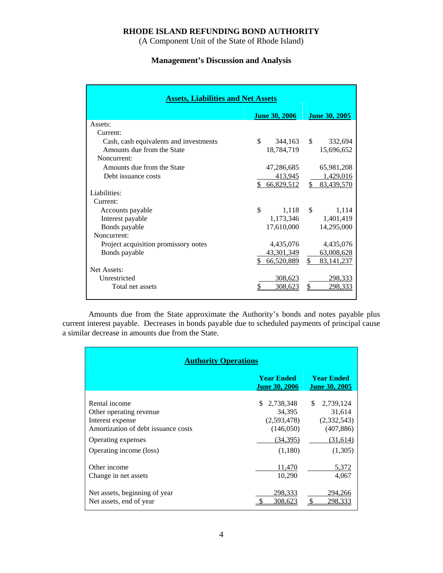(A Component Unit of the State of Rhode Island)

# **Management's Discussion and Analysis**

| <b>Assets, Liabilities and Net Assets</b> |                      |                              |  |  |  |  |  |  |
|-------------------------------------------|----------------------|------------------------------|--|--|--|--|--|--|
|                                           | <b>June 30, 2006</b> | June 30, 2005                |  |  |  |  |  |  |
| Assets:                                   |                      |                              |  |  |  |  |  |  |
| Current:                                  |                      |                              |  |  |  |  |  |  |
| Cash, cash equivalents and investments    | \$<br>344,163 \$     | 332,694                      |  |  |  |  |  |  |
| Amounts due from the State                | 18,784,719           | 15,696,652                   |  |  |  |  |  |  |
| Noncurrent:                               |                      |                              |  |  |  |  |  |  |
| Amounts due from the State                | 47,286,685           | 65,981,208                   |  |  |  |  |  |  |
| Debt issuance costs                       | 413,945              | 1,429,016                    |  |  |  |  |  |  |
|                                           | \$66,829,512         | \$ 83,439,570                |  |  |  |  |  |  |
| Liabilities:                              |                      |                              |  |  |  |  |  |  |
| Current:                                  |                      |                              |  |  |  |  |  |  |
| Accounts payable                          | \$<br>1,118          | $\mathbf{s}$<br>1,114        |  |  |  |  |  |  |
| Interest payable                          | 1,173,346            | 1,401,419                    |  |  |  |  |  |  |
| Bonds payable                             | 17,610,000           | 14,295,000                   |  |  |  |  |  |  |
| Noncurrent:                               |                      |                              |  |  |  |  |  |  |
| Project acquisition promissory notes      | 4,435,076            | 4,435,076                    |  |  |  |  |  |  |
| Bonds payable                             | 43,301,349           | 63,008,628                   |  |  |  |  |  |  |
|                                           | S.<br>66,520,889     | $\mathbb{S}$<br>83, 141, 237 |  |  |  |  |  |  |
| <b>Net Assets:</b>                        |                      |                              |  |  |  |  |  |  |
| Unrestricted                              | 308,623              | 298,333                      |  |  |  |  |  |  |
| Total net assets                          | 308,623              | <u>298,333</u>               |  |  |  |  |  |  |
|                                           |                      |                              |  |  |  |  |  |  |

 Amounts due from the State approximate the Authority's bonds and notes payable plus current interest payable. Decreases in bonds payable due to scheduled payments of principal cause a similar decrease in amounts due from the State.

| <b>Authority Operations</b>                                                                                                                          |                                                                              |                                                                               |  |  |  |  |
|------------------------------------------------------------------------------------------------------------------------------------------------------|------------------------------------------------------------------------------|-------------------------------------------------------------------------------|--|--|--|--|
|                                                                                                                                                      | <b>Year Ended</b><br><b>June 30, 2005</b>                                    |                                                                               |  |  |  |  |
| Rental income<br>Other operating revenue<br>Interest expense<br>Amortization of debt issuance costs<br>Operating expenses<br>Operating income (loss) | S.<br>2,738,348<br>34,395<br>(2,593,478)<br>(146,050)<br>(34,395)<br>(1,180) | \$<br>2,739,124<br>31,614<br>(2,332,543)<br>(407, 886)<br>(31,614)<br>(1,305) |  |  |  |  |
| Other income<br>Change in net assets                                                                                                                 | 11,470<br>10,290                                                             | 5,372<br>4,067                                                                |  |  |  |  |
| Net assets, beginning of year<br>Net assets, end of year                                                                                             | 298,333<br>308,623                                                           | 294,266<br><sup>\$</sup><br>298,333                                           |  |  |  |  |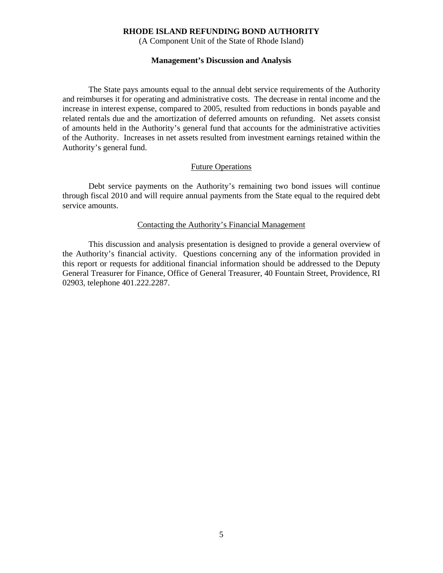(A Component Unit of the State of Rhode Island)

#### **Management's Discussion and Analysis**

 The State pays amounts equal to the annual debt service requirements of the Authority and reimburses it for operating and administrative costs. The decrease in rental income and the increase in interest expense, compared to 2005, resulted from reductions in bonds payable and related rentals due and the amortization of deferred amounts on refunding. Net assets consist of amounts held in the Authority's general fund that accounts for the administrative activities of the Authority. Increases in net assets resulted from investment earnings retained within the Authority's general fund.

#### Future Operations

 Debt service payments on the Authority's remaining two bond issues will continue through fiscal 2010 and will require annual payments from the State equal to the required debt service amounts.

#### Contacting the Authority's Financial Management

 This discussion and analysis presentation is designed to provide a general overview of the Authority's financial activity. Questions concerning any of the information provided in this report or requests for additional financial information should be addressed to the Deputy General Treasurer for Finance, Office of General Treasurer, 40 Fountain Street, Providence, RI 02903, telephone 401.222.2287.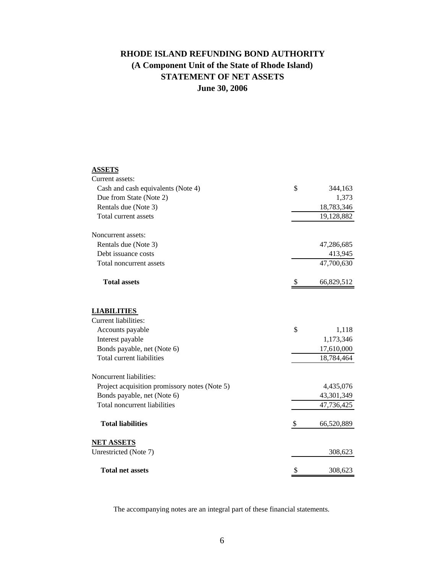# **RHODE ISLAND REFUNDING BOND AUTHORITY STATEMENT OF NET ASSETS June 30, 2006 (A Component Unit of the State of Rhode Island)**

# **ASSETS**

| Current assets:                                          |                          |
|----------------------------------------------------------|--------------------------|
| Cash and cash equivalents (Note 4)                       | \$<br>344,163            |
| Due from State (Note 2)                                  | 1,373                    |
| Rentals due (Note 3)                                     | 18,783,346               |
| Total current assets                                     | 19,128,882               |
| Noncurrent assets:                                       |                          |
| Rentals due (Note 3)                                     | 47,286,685               |
| Debt issuance costs                                      | 413,945                  |
| Total noncurrent assets                                  | 47,700,630               |
| <b>Total assets</b>                                      | 66,829,512               |
| <b>LIABILITIES</b>                                       |                          |
| Current liabilities:                                     |                          |
| Accounts payable                                         | \$<br>1,118              |
| Interest payable                                         | 1,173,346                |
| Bonds payable, net (Note 6)<br>Total current liabilities | 17,610,000<br>18,784,464 |
| Noncurrent liabilities:                                  |                          |
| Project acquisition promissory notes (Note 5)            | 4,435,076                |
| Bonds payable, net (Note 6)                              | 43,301,349               |
| Total noncurrent liabilities                             | 47,736,425               |
| <b>Total liabilities</b>                                 | \$<br>66,520,889         |
| <b>NET ASSETS</b>                                        |                          |
| Unrestricted (Note 7)                                    | 308,623                  |
| <b>Total net assets</b>                                  | \$<br>308,623            |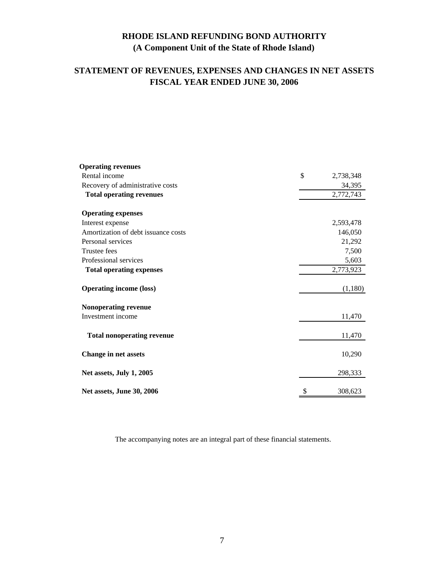# **RHODE ISLAND REFUNDING BOND AUTHORITY (A Component Unit of the State of Rhode Island)**

# **STATEMENT OF REVENUES, EXPENSES AND CHANGES IN NET ASSETS FISCAL YEAR ENDED JUNE 30, 2006**

| <b>Operating revenues</b>           |                 |
|-------------------------------------|-----------------|
| Rental income                       | \$<br>2,738,348 |
| Recovery of administrative costs    | 34,395          |
| <b>Total operating revenues</b>     | 2,772,743       |
| <b>Operating expenses</b>           |                 |
| Interest expense                    | 2,593,478       |
| Amortization of debt issuance costs | 146,050         |
| Personal services                   | 21,292          |
| Trustee fees                        | 7,500           |
| Professional services               | 5,603           |
| <b>Total operating expenses</b>     | 2,773,923       |
| <b>Operating income (loss)</b>      | (1,180)         |
| Nonoperating revenue                |                 |
| Investment income                   | 11,470          |
| <b>Total nonoperating revenue</b>   | 11,470          |
| <b>Change in net assets</b>         | 10,290          |
| Net assets, July 1, 2005            | 298,333         |
| Net assets, June 30, 2006           | \$<br>308,623   |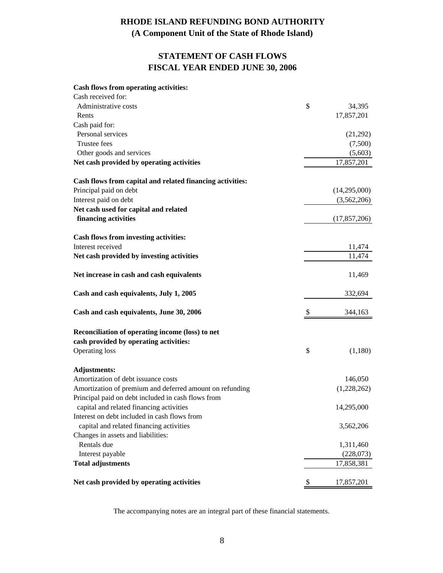# **RHODE ISLAND REFUNDING BOND AUTHORITY (A Component Unit of the State of Rhode Island)**

# **STATEMENT OF CASH FLOWS FISCAL YEAR ENDED JUNE 30, 2006**

# **Cash flows from operating activities:**

| Cash received for:                                        |                  |
|-----------------------------------------------------------|------------------|
| Administrative costs                                      | \$<br>34,395     |
| Rents                                                     | 17,857,201       |
| Cash paid for:                                            |                  |
| Personal services                                         | (21,292)         |
| Trustee fees                                              | (7,500)          |
| Other goods and services                                  | (5,603)          |
| Net cash provided by operating activities                 | 17,857,201       |
| Cash flows from capital and related financing activities: |                  |
| Principal paid on debt                                    | (14,295,000)     |
| Interest paid on debt                                     | (3,562,206)      |
| Net cash used for capital and related                     |                  |
| financing activities                                      | (17, 857, 206)   |
| Cash flows from investing activities:                     |                  |
| Interest received                                         | 11,474           |
| Net cash provided by investing activities                 | 11,474           |
| Net increase in cash and cash equivalents                 | 11,469           |
| Cash and cash equivalents, July 1, 2005                   | 332,694          |
| Cash and cash equivalents, June 30, 2006                  | \$<br>344,163    |
| Reconciliation of operating income (loss) to net          |                  |
| cash provided by operating activities:                    |                  |
| <b>Operating loss</b>                                     | \$<br>(1,180)    |
| <b>Adjustments:</b>                                       |                  |
| Amortization of debt issuance costs                       | 146,050          |
| Amortization of premium and deferred amount on refunding  | (1,228,262)      |
| Principal paid on debt included in cash flows from        |                  |
| capital and related financing activities                  | 14,295,000       |
| Interest on debt included in cash flows from              |                  |
| capital and related financing activities                  | 3,562,206        |
| Changes in assets and liabilities:                        |                  |
| Rentals due                                               | 1,311,460        |
| Interest payable                                          | (228,073)        |
| <b>Total adjustments</b>                                  | 17,858,381       |
| Net cash provided by operating activities                 | \$<br>17,857,201 |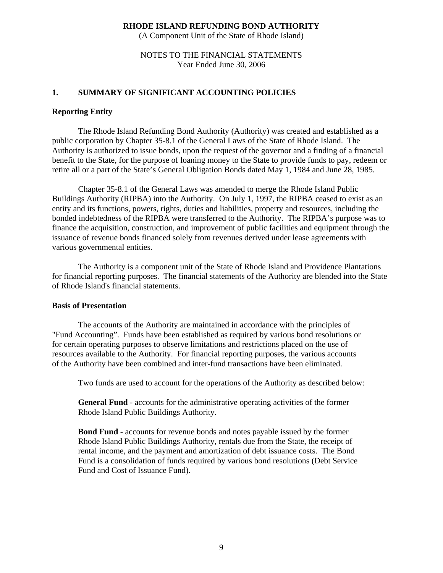(A Component Unit of the State of Rhode Island)

## NOTES TO THE FINANCIAL STATEMENTS Year Ended June 30, 2006

## **1. SUMMARY OF SIGNIFICANT ACCOUNTING POLICIES**

### **Reporting Entity**

The Rhode Island Refunding Bond Authority (Authority) was created and established as a public corporation by Chapter 35-8.1 of the General Laws of the State of Rhode Island. The Authority is authorized to issue bonds, upon the request of the governor and a finding of a financial benefit to the State, for the purpose of loaning money to the State to provide funds to pay, redeem or retire all or a part of the State's General Obligation Bonds dated May 1, 1984 and June 28, 1985.

Chapter 35-8.1 of the General Laws was amended to merge the Rhode Island Public Buildings Authority (RIPBA) into the Authority. On July 1, 1997, the RIPBA ceased to exist as an entity and its functions, powers, rights, duties and liabilities, property and resources, including the bonded indebtedness of the RIPBA were transferred to the Authority. The RIPBA's purpose was to finance the acquisition, construction, and improvement of public facilities and equipment through the issuance of revenue bonds financed solely from revenues derived under lease agreements with various governmental entities.

 The Authority is a component unit of the State of Rhode Island and Providence Plantations for financial reporting purposes. The financial statements of the Authority are blended into the State of Rhode Island's financial statements.

#### **Basis of Presentation**

The accounts of the Authority are maintained in accordance with the principles of "Fund Accounting". Funds have been established as required by various bond resolutions or for certain operating purposes to observe limitations and restrictions placed on the use of resources available to the Authority. For financial reporting purposes, the various accounts of the Authority have been combined and inter-fund transactions have been eliminated.

Two funds are used to account for the operations of the Authority as described below:

 **General Fund** - accounts for the administrative operating activities of the former Rhode Island Public Buildings Authority.

 **Bond Fund** - accounts for revenue bonds and notes payable issued by the former Rhode Island Public Buildings Authority, rentals due from the State, the receipt of rental income, and the payment and amortization of debt issuance costs. The Bond Fund is a consolidation of funds required by various bond resolutions (Debt Service Fund and Cost of Issuance Fund).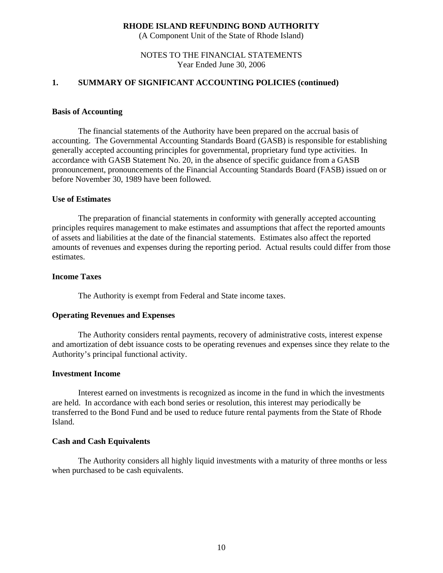(A Component Unit of the State of Rhode Island)

## NOTES TO THE FINANCIAL STATEMENTS Year Ended June 30, 2006

### **1. SUMMARY OF SIGNIFICANT ACCOUNTING POLICIES (continued)**

#### **Basis of Accounting**

The financial statements of the Authority have been prepared on the accrual basis of accounting. The Governmental Accounting Standards Board (GASB) is responsible for establishing generally accepted accounting principles for governmental, proprietary fund type activities. In accordance with GASB Statement No. 20, in the absence of specific guidance from a GASB pronouncement, pronouncements of the Financial Accounting Standards Board (FASB) issued on or before November 30, 1989 have been followed.

#### **Use of Estimates**

 The preparation of financial statements in conformity with generally accepted accounting principles requires management to make estimates and assumptions that affect the reported amounts of assets and liabilities at the date of the financial statements. Estimates also affect the reported amounts of revenues and expenses during the reporting period. Actual results could differ from those estimates.

#### **Income Taxes**

The Authority is exempt from Federal and State income taxes.

#### **Operating Revenues and Expenses**

The Authority considers rental payments, recovery of administrative costs, interest expense and amortization of debt issuance costs to be operating revenues and expenses since they relate to the Authority's principal functional activity.

#### **Investment Income**

Interest earned on investments is recognized as income in the fund in which the investments are held. In accordance with each bond series or resolution, this interest may periodically be transferred to the Bond Fund and be used to reduce future rental payments from the State of Rhode Island.

#### **Cash and Cash Equivalents**

 The Authority considers all highly liquid investments with a maturity of three months or less when purchased to be cash equivalents.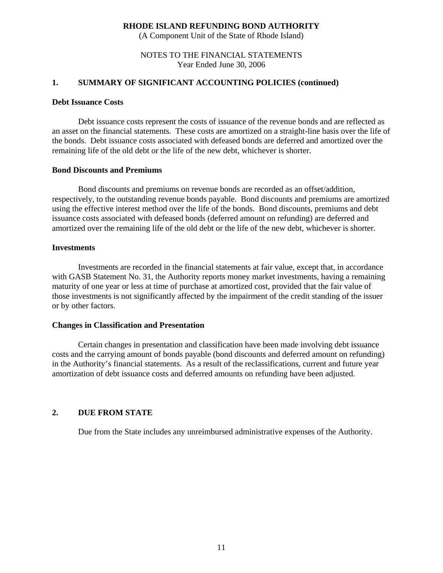(A Component Unit of the State of Rhode Island)

NOTES TO THE FINANCIAL STATEMENTS Year Ended June 30, 2006

## **1. SUMMARY OF SIGNIFICANT ACCOUNTING POLICIES (continued)**

#### **Debt Issuance Costs**

 Debt issuance costs represent the costs of issuance of the revenue bonds and are reflected as an asset on the financial statements. These costs are amortized on a straight-line basis over the life of the bonds. Debt issuance costs associated with defeased bonds are deferred and amortized over the remaining life of the old debt or the life of the new debt, whichever is shorter.

### **Bond Discounts and Premiums**

 Bond discounts and premiums on revenue bonds are recorded as an offset/addition, respectively, to the outstanding revenue bonds payable. Bond discounts and premiums are amortized using the effective interest method over the life of the bonds. Bond discounts, premiums and debt issuance costs associated with defeased bonds (deferred amount on refunding) are deferred and amortized over the remaining life of the old debt or the life of the new debt, whichever is shorter.

### **Investments**

 Investments are recorded in the financial statements at fair value, except that, in accordance with GASB Statement No. 31, the Authority reports money market investments, having a remaining maturity of one year or less at time of purchase at amortized cost, provided that the fair value of those investments is not significantly affected by the impairment of the credit standing of the issuer or by other factors.

### **Changes in Classification and Presentation**

Certain changes in presentation and classification have been made involving debt issuance costs and the carrying amount of bonds payable (bond discounts and deferred amount on refunding) in the Authority's financial statements. As a result of the reclassifications, current and future year amortization of debt issuance costs and deferred amounts on refunding have been adjusted.

### **2. DUE FROM STATE**

Due from the State includes any unreimbursed administrative expenses of the Authority.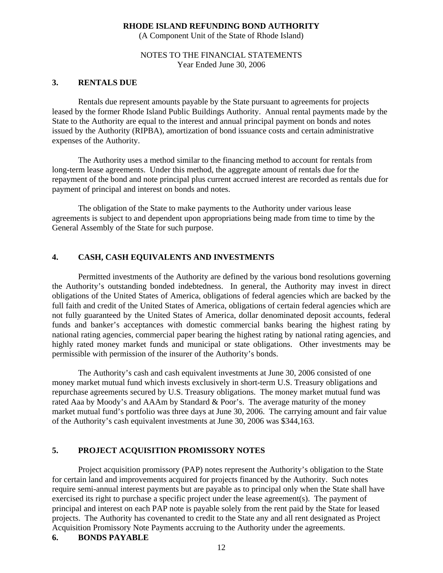(A Component Unit of the State of Rhode Island)

## NOTES TO THE FINANCIAL STATEMENTS Year Ended June 30, 2006

### **3. RENTALS DUE**

Rentals due represent amounts payable by the State pursuant to agreements for projects leased by the former Rhode Island Public Buildings Authority. Annual rental payments made by the State to the Authority are equal to the interest and annual principal payment on bonds and notes issued by the Authority (RIPBA), amortization of bond issuance costs and certain administrative expenses of the Authority.

The Authority uses a method similar to the financing method to account for rentals from long-term lease agreements. Under this method, the aggregate amount of rentals due for the repayment of the bond and note principal plus current accrued interest are recorded as rentals due for payment of principal and interest on bonds and notes.

The obligation of the State to make payments to the Authority under various lease agreements is subject to and dependent upon appropriations being made from time to time by the General Assembly of the State for such purpose.

## **4. CASH, CASH EQUIVALENTS AND INVESTMENTS**

Permitted investments of the Authority are defined by the various bond resolutions governing the Authority's outstanding bonded indebtedness. In general, the Authority may invest in direct obligations of the United States of America, obligations of federal agencies which are backed by the full faith and credit of the United States of America, obligations of certain federal agencies which are not fully guaranteed by the United States of America, dollar denominated deposit accounts, federal funds and banker's acceptances with domestic commercial banks bearing the highest rating by national rating agencies, commercial paper bearing the highest rating by national rating agencies, and highly rated money market funds and municipal or state obligations. Other investments may be permissible with permission of the insurer of the Authority's bonds.

The Authority's cash and cash equivalent investments at June 30, 2006 consisted of one money market mutual fund which invests exclusively in short-term U.S. Treasury obligations and repurchase agreements secured by U.S. Treasury obligations. The money market mutual fund was rated Aaa by Moody's and AAAm by Standard & Poor's. The average maturity of the money market mutual fund's portfolio was three days at June 30, 2006. The carrying amount and fair value of the Authority's cash equivalent investments at June 30, 2006 was \$344,163.

## **5. PROJECT ACQUISITION PROMISSORY NOTES**

 Project acquisition promissory (PAP) notes represent the Authority's obligation to the State for certain land and improvements acquired for projects financed by the Authority. Such notes require semi-annual interest payments but are payable as to principal only when the State shall have exercised its right to purchase a specific project under the lease agreement(s). The payment of principal and interest on each PAP note is payable solely from the rent paid by the State for leased projects. The Authority has covenanted to credit to the State any and all rent designated as Project Acquisition Promissory Note Payments accruing to the Authority under the agreements.

## **6. BONDS PAYABLE**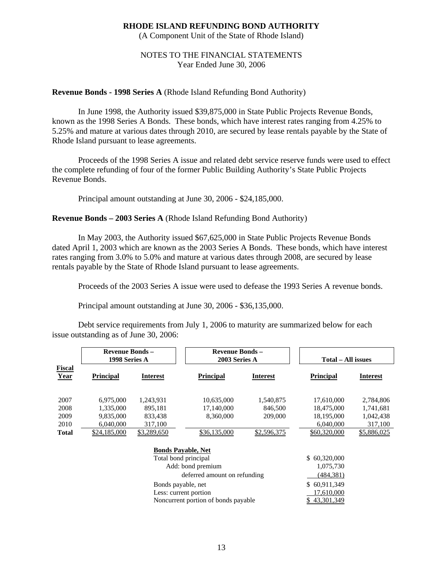(A Component Unit of the State of Rhode Island)

## NOTES TO THE FINANCIAL STATEMENTS Year Ended June 30, 2006

## **Revenue Bonds - 1998 Series A** (Rhode Island Refunding Bond Authority)

 In June 1998, the Authority issued \$39,875,000 in State Public Projects Revenue Bonds, known as the 1998 Series A Bonds. These bonds, which have interest rates ranging from 4.25% to 5.25% and mature at various dates through 2010, are secured by lease rentals payable by the State of Rhode Island pursuant to lease agreements.

 Proceeds of the 1998 Series A issue and related debt service reserve funds were used to effect the complete refunding of four of the former Public Building Authority's State Public Projects Revenue Bonds.

Principal amount outstanding at June 30, 2006 - \$24,185,000.

## **Revenue Bonds – 2003 Series A** (Rhode Island Refunding Bond Authority)

In May 2003, the Authority issued \$67,625,000 in State Public Projects Revenue Bonds dated April 1, 2003 which are known as the 2003 Series A Bonds. These bonds, which have interest rates ranging from 3.0% to 5.0% and mature at various dates through 2008, are secured by lease rentals payable by the State of Rhode Island pursuant to lease agreements.

Proceeds of the 2003 Series A issue were used to defease the 1993 Series A revenue bonds.

Principal amount outstanding at June 30, 2006 - \$36,135,000.

Debt service requirements from July 1, 2006 to maturity are summarized below for each issue outstanding as of June 30, 2006:

|                       | <b>Revenue Bonds -</b><br>1998 Series A |                           | <b>Revenue Bonds -</b><br>2003 Series A |             | <b>Total – All issues</b> |                 |
|-----------------------|-----------------------------------------|---------------------------|-----------------------------------------|-------------|---------------------------|-----------------|
| <b>Fiscal</b><br>Year | <b>Principal</b>                        | <b>Interest</b>           | <b>Principal</b>                        | Interest    | <b>Principal</b>          | <b>Interest</b> |
| 2007                  | 6,975,000                               | 1,243,931                 | 10,635,000                              | 1,540,875   | 17,610,000                | 2,784,806       |
| 2008                  | 1,335,000                               | 895,181                   | 17,140,000                              | 846,500     | 18,475,000                | 1,741,681       |
| 2009                  | 9,835,000                               | 833,438                   | 8,360,000                               | 209,000     | 18,195,000                | 1,042,438       |
| 2010                  | 6,040,000                               | 317,100                   |                                         |             | 6,040,000                 | 317,100         |
| Total                 | \$24,185,000                            | \$3,289,650               | \$36,135,000                            | \$2,596,375 | \$60,320,000              | \$5,886,025     |
|                       |                                         | <b>Bonds Payable, Net</b> |                                         |             |                           |                 |
|                       | Total bond principal                    |                           |                                         |             | \$60,320,000              |                 |
|                       | Add: bond premium                       |                           |                                         |             | 1,075,730                 |                 |
|                       | deferred amount on refunding            |                           |                                         |             | (484, 381)                |                 |
|                       |                                         | Bonds payable, net        |                                         |             | \$60,911,349              |                 |
|                       |                                         | Less: current portion     | 17,610,000                              |             |                           |                 |

Noncurrent portion of bonds payable  $$ 43,301,349$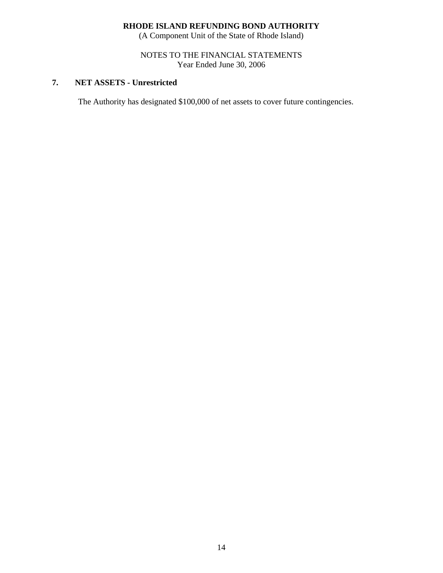(A Component Unit of the State of Rhode Island)

## NOTES TO THE FINANCIAL STATEMENTS Year Ended June 30, 2006

# **7. NET ASSETS - Unrestricted**

The Authority has designated \$100,000 of net assets to cover future contingencies.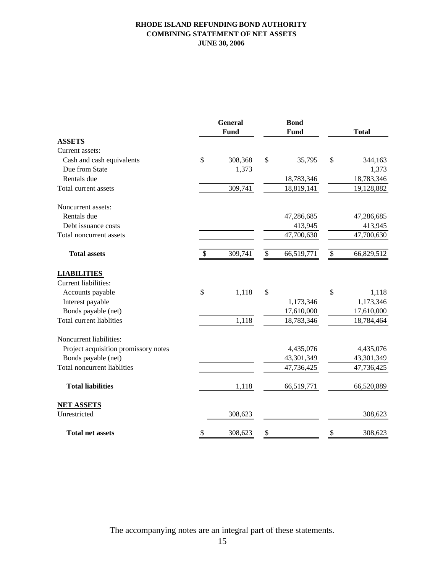## **RHODE ISLAND REFUNDING BOND AUTHORITY COMBINING STATEMENT OF NET ASSETS JUNE 30, 2006**

|                                      | <b>General</b><br><b>Fund</b> |              | <b>Bond</b><br>Fund |              | <b>Total</b> |
|--------------------------------------|-------------------------------|--------------|---------------------|--------------|--------------|
| <b>ASSETS</b>                        |                               |              |                     |              |              |
| Current assets:                      |                               |              |                     |              |              |
| Cash and cash equivalents            | \$<br>308,368                 | \$           | 35,795              | \$           | 344,163      |
| Due from State                       | 1,373                         |              |                     |              | 1,373        |
| Rentals due                          |                               |              | 18,783,346          |              | 18,783,346   |
| Total current assets                 | 309,741                       |              | 18,819,141          |              | 19,128,882   |
| Noncurrent assets:                   |                               |              |                     |              |              |
| Rentals due                          |                               |              | 47,286,685          |              | 47,286,685   |
| Debt issuance costs                  |                               |              | 413,945             |              | 413,945      |
| Total noncurrent assets              |                               |              | 47,700,630          |              | 47,700,630   |
| <b>Total assets</b>                  | \$<br>309,741                 | $\mathbb{S}$ | 66,519,771          | $\mathbb{S}$ | 66,829,512   |
| <b>LIABILITIES</b>                   |                               |              |                     |              |              |
| Current liabilities:                 |                               |              |                     |              |              |
| Accounts payable                     | \$<br>1,118                   | \$           |                     | \$           | 1,118        |
| Interest payable                     |                               |              | 1,173,346           |              | 1,173,346    |
| Bonds payable (net)                  |                               |              | 17,610,000          |              | 17,610,000   |
| <b>Total current liablities</b>      | 1,118                         |              | 18,783,346          |              | 18,784,464   |
| Noncurrent liabilities:              |                               |              |                     |              |              |
| Project acquisition promissory notes |                               |              | 4,435,076           |              | 4,435,076    |
| Bonds payable (net)                  |                               |              | 43,301,349          |              | 43,301,349   |
| <b>Total noncurrent liablities</b>   |                               |              | 47,736,425          |              | 47,736,425   |
| <b>Total liabilities</b>             | 1,118                         |              | 66,519,771          |              | 66,520,889   |
| <b>NET ASSETS</b>                    |                               |              |                     |              |              |
| Unrestricted                         | 308,623                       |              |                     |              | 308,623      |
| <b>Total net assets</b>              | \$<br>308,623                 | \$           |                     | \$           | 308,623      |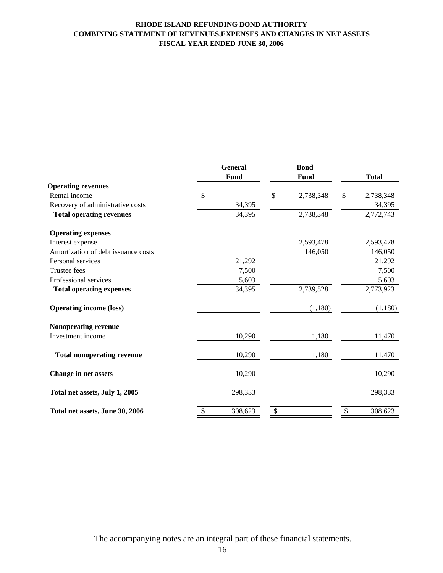## **RHODE ISLAND REFUNDING BOND AUTHORITY COMBINING STATEMENT OF REVENUES,EXPENSES AND CHANGES IN NET ASSETS FISCAL YEAR ENDED JUNE 30, 2006**

|                                     | <b>General</b><br>Fund |         | <b>Bond</b><br>Fund | <b>Total</b>    |  |
|-------------------------------------|------------------------|---------|---------------------|-----------------|--|
| <b>Operating revenues</b>           |                        |         |                     |                 |  |
| Rental income                       | \$                     |         | \$<br>2,738,348     | \$<br>2,738,348 |  |
| Recovery of administrative costs    |                        | 34,395  |                     | 34,395          |  |
| <b>Total operating revenues</b>     |                        | 34,395  | 2,738,348           | 2,772,743       |  |
| <b>Operating expenses</b>           |                        |         |                     |                 |  |
| Interest expense                    |                        |         | 2,593,478           | 2,593,478       |  |
| Amortization of debt issuance costs |                        |         | 146,050             | 146,050         |  |
| Personal services                   |                        | 21,292  |                     | 21,292          |  |
| <b>Trustee fees</b>                 |                        | 7,500   |                     | 7,500           |  |
| Professional services               |                        | 5,603   |                     | 5,603           |  |
| <b>Total operating expenses</b>     |                        | 34,395  | 2,739,528           | 2,773,923       |  |
| <b>Operating income (loss)</b>      |                        |         | (1,180)             | (1,180)         |  |
| Nonoperating revenue                |                        |         |                     |                 |  |
| Investment income                   |                        | 10,290  | 1,180               | 11,470          |  |
| <b>Total nonoperating revenue</b>   |                        | 10,290  | 1,180               | 11,470          |  |
| Change in net assets                |                        | 10,290  |                     | 10,290          |  |
| Total net assets, July 1, 2005      |                        | 298,333 |                     | 298,333         |  |
| Total net assets, June 30, 2006     | \$                     | 308,623 | \$                  | \$<br>308,623   |  |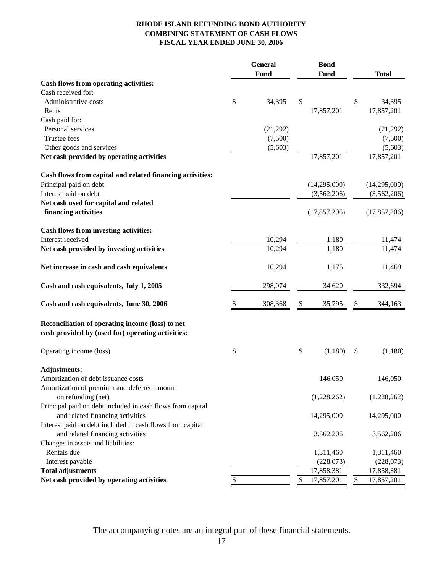## **RHODE ISLAND REFUNDING BOND AUTHORITY COMBINING STATEMENT OF CASH FLOWS FISCAL YEAR ENDED JUNE 30, 2006**

|                                                            | General |             | <b>Bond</b> |                |        |                |
|------------------------------------------------------------|---------|-------------|-------------|----------------|--------|----------------|
|                                                            |         | <b>Fund</b> |             | <b>Fund</b>    |        | <b>Total</b>   |
| Cash flows from operating activities:                      |         |             |             |                |        |                |
| Cash received for:                                         |         |             |             |                |        |                |
| Administrative costs                                       | \$      | 34,395      | \$          |                | \$     | 34,395         |
| Rents                                                      |         |             |             | 17,857,201     |        | 17,857,201     |
| Cash paid for:                                             |         |             |             |                |        |                |
| Personal services                                          |         | (21,292)    |             |                |        | (21,292)       |
| Trustee fees                                               |         | (7,500)     |             |                |        | (7,500)        |
| Other goods and services                                   |         | (5,603)     |             |                |        | (5,603)        |
| Net cash provided by operating activities                  |         |             |             | 17,857,201     |        | 17,857,201     |
| Cash flows from capital and related financing activities:  |         |             |             |                |        |                |
| Principal paid on debt                                     |         |             |             | (14,295,000)   |        | (14,295,000)   |
| Interest paid on debt                                      |         |             |             | (3,562,206)    |        | (3,562,206)    |
| Net cash used for capital and related                      |         |             |             |                |        |                |
| financing activities                                       |         |             |             | (17, 857, 206) |        | (17, 857, 206) |
| Cash flows from investing activities:                      |         |             |             |                |        |                |
| Interest received                                          |         | 10,294      |             | 1,180          |        | 11,474         |
| Net cash provided by investing activities                  |         | 10,294      |             | 1,180          |        | 11,474         |
| Net increase in cash and cash equivalents                  |         | 10,294      |             | 1,175          |        | 11,469         |
| Cash and cash equivalents, July 1, 2005                    |         | 298,074     |             | 34,620         |        | 332,694        |
| Cash and cash equivalents, June 30, 2006                   | \$      | 308,368     | \$          | 35,795         | \$     | 344,163        |
| Reconciliation of operating income (loss) to net           |         |             |             |                |        |                |
| cash provided by (used for) operating activities:          |         |             |             |                |        |                |
| Operating income (loss)                                    | \$      |             | \$          | (1,180)        | \$     | (1,180)        |
| <b>Adjustments:</b>                                        |         |             |             |                |        |                |
| Amortization of debt issuance costs                        |         |             |             | 146,050        |        | 146,050        |
| Amortization of premium and deferred amount                |         |             |             |                |        |                |
| on refunding (net)                                         |         |             |             | (1,228,262)    |        | (1,228,262)    |
| Principal paid on debt included in cash flows from capital |         |             |             |                |        |                |
| and related financing activities                           |         |             |             | 14,295,000     |        | 14,295,000     |
| Interest paid on debt included in cash flows from capital  |         |             |             |                |        |                |
| and related financing activities                           |         |             |             | 3,562,206      |        | 3,562,206      |
| Changes in assets and liabilities:                         |         |             |             |                |        |                |
| Rentals due                                                |         |             |             | 1,311,460      |        | 1,311,460      |
| Interest payable                                           |         |             |             | (228,073)      |        | (228,073)      |
| <b>Total adjustments</b>                                   |         |             |             | 17,858,381     |        | 17,858,381     |
| Net cash provided by operating activities                  | \$      |             | \$          | 17,857,201     | $\$\,$ | 17,857,201     |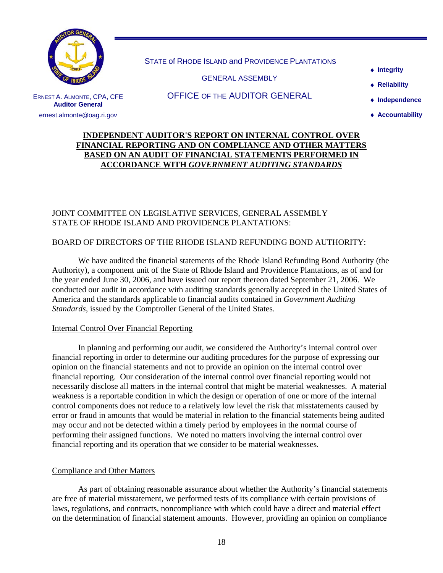

ERNEST A. ALMONTE, CPA, CFE **Auditor General**  ernest.almonte@oag.ri.gov

STATE of RHODE ISLAND and PROVIDENCE PLANTATIONS

GENERAL ASSEMBLY

♦ **Integrity**

♦ **Reliability** 

OFFICE OF THE AUDITOR GENERAL

- ♦ **Independence**
- ♦ **Accountability**

# **INDEPENDENT AUDITOR'S REPORT ON INTERNAL CONTROL OVER FINANCIAL REPORTING AND ON COMPLIANCE AND OTHER MATTERS BASED ON AN AUDIT OF FINANCIAL STATEMENTS PERFORMED IN ACCORDANCE WITH** *GOVERNMENT AUDITING STANDARDS*

# JOINT COMMITTEE ON LEGISLATIVE SERVICES, GENERAL ASSEMBLY STATE OF RHODE ISLAND AND PROVIDENCE PLANTATIONS:

## BOARD OF DIRECTORS OF THE RHODE ISLAND REFUNDING BOND AUTHORITY:

We have audited the financial statements of the Rhode Island Refunding Bond Authority (the Authority), a component unit of the State of Rhode Island and Providence Plantations, as of and for the year ended June 30, 2006, and have issued our report thereon dated September 21, 2006. We conducted our audit in accordance with auditing standards generally accepted in the United States of America and the standards applicable to financial audits contained in *Government Auditing Standards*, issued by the Comptroller General of the United States.

## Internal Control Over Financial Reporting

 In planning and performing our audit, we considered the Authority's internal control over financial reporting in order to determine our auditing procedures for the purpose of expressing our opinion on the financial statements and not to provide an opinion on the internal control over financial reporting. Our consideration of the internal control over financial reporting would not necessarily disclose all matters in the internal control that might be material weaknesses. A material weakness is a reportable condition in which the design or operation of one or more of the internal control components does not reduce to a relatively low level the risk that misstatements caused by error or fraud in amounts that would be material in relation to the financial statements being audited may occur and not be detected within a timely period by employees in the normal course of performing their assigned functions. We noted no matters involving the internal control over financial reporting and its operation that we consider to be material weaknesses.

## Compliance and Other Matters

As part of obtaining reasonable assurance about whether the Authority's financial statements are free of material misstatement, we performed tests of its compliance with certain provisions of laws, regulations, and contracts, noncompliance with which could have a direct and material effect on the determination of financial statement amounts. However, providing an opinion on compliance